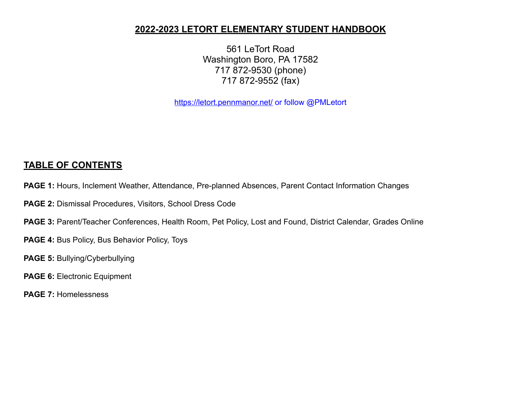# **2022-2023 LETORT ELEMENTARY STUDENT HANDBOOK**

 LeTort Road Washington Boro, PA 17582 872-9530 (phone) 872-9552 (fax)

<https://letort.pennmanor.net/> or follow @PMLetort

# **TABLE OF CONTENTS**

- **PAGE 1:** Hours, Inclement Weather, Attendance, Pre-planned Absences, Parent Contact Information Changes
- **PAGE 2:** Dismissal Procedures, Visitors, School Dress Code
- **PAGE 3:** Parent/Teacher Conferences, Health Room, Pet Policy, Lost and Found, District Calendar, Grades Online
- **PAGE 4:** Bus Policy, Bus Behavior Policy, Toys
- **PAGE 5:** Bullying/Cyberbullying
- **PAGE 6:** Electronic Equipment
- **PAGE 7:** Homelessness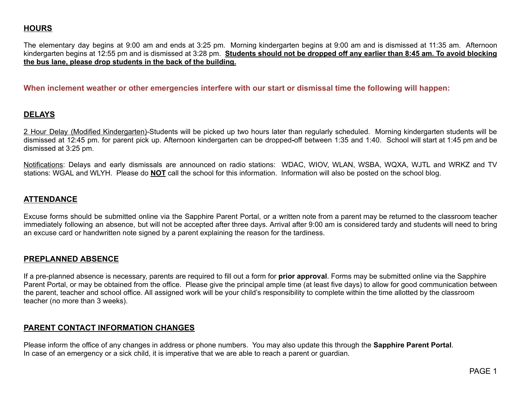# **HOURS**

The elementary day begins at 9:00 am and ends at 3:25 pm. Morning kindergarten begins at 9:00 am and is dismissed at 11:35 am. Afternoon kindergarten begins at 12:55 pm and is dismissed at 3:28 pm. Students should not be dropped off any earlier than 8:45 am. To avoid blocking **the bus lane, please drop students in the back of the building.**

**When inclement weather or other emergencies interfere with our start or dismissal time the following will happen:**

#### **DELAYS**

2 Hour Delay (Modified Kindergarten)-Students will be picked up two hours later than regularly scheduled. Morning kindergarten students will be dismissed at 12:45 pm. for parent pick up. Afternoon kindergarten can be dropped**-**off between 1:35 and 1:40. School will start at 1:45 pm and be dismissed at 3:25 pm.

Notifications: Delays and early dismissals are announced on radio stations: WDAC, WIOV, WLAN, WSBA, WQXA, WJTL and WRKZ and TV stations: WGAL and WLYH. Please do **NOT** call the school for this information. Information will also be posted on the school blog.

#### **ATTENDANCE**

Excuse forms should be submitted online via the Sapphire Parent Portal, or a written note from a parent may be returned to the classroom teacher immediately following an absence, but will not be accepted after three days. Arrival after 9:00 am is considered tardy and students will need to bring an excuse card or handwritten note signed by a parent explaining the reason for the tardiness.

#### **PREPLANNED ABSENCE**

If a pre-planned absence is necessary, parents are required to fill out a form for **prior approval**. Forms may be submitted online via the Sapphire Parent Portal, or may be obtained from the office. Please give the principal ample time (at least five days) to allow for good communication between the parent, teacher and school office. All assigned work will be your child's responsibility to complete within the time allotted by the classroom teacher (no more than 3 weeks).

## **PARENT CONTACT INFORMATION CHANGES**

Please inform the office of any changes in address or phone numbers. You may also update this through the **Sapphire Parent Portal**. In case of an emergency or a sick child, it is imperative that we are able to reach a parent or guardian.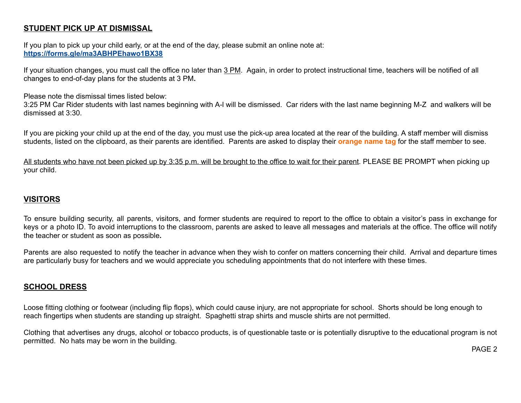# **STUDENT PICK UP AT DISMISSAL**

If you plan to pick up your child early, or at the end of the day, please submit an online note at: **<https://forms.gle/ma3ABHPEhawo1BX38>**

If your situation changes, you must call the office no later than 3 PM. Again, in order to protect instructional time, teachers will be notified of all changes to end-of-day plans for the students at 3 PM**.**

Please note the dismissal times listed below:

3:25 PM Car Rider students with last names beginning with A-l will be dismissed. Car riders with the last name beginning M-Z and walkers will be dismissed at 3:30.

If you are picking your child up at the end of the day, you must use the pick-up area located at the rear of the building. A staff member will dismiss students, listed on the clipboard, as their parents are identified. Parents are asked to display their **orange name tag** for the staff member to see.

All students who have not been picked up by 3:35 p.m. will be brought to the office to wait for their parent. PLEASE BE PROMPT when picking up your child.

# **VISITORS**

To ensure building security, all parents, visitors, and former students are required to report to the office to obtain a visitor's pass in exchange for keys or a photo ID. To avoid interruptions to the classroom, parents are asked to leave all messages and materials at the office. The office will notify the teacher or student as soon as possible**.**

Parents are also requested to notify the teacher in advance when they wish to confer on matters concerning their child. Arrival and departure times are particularly busy for teachers and we would appreciate you scheduling appointments that do not interfere with these times.

## **SCHOOL DRESS**

Loose fitting clothing or footwear (including flip flops), which could cause injury, are not appropriate for school. Shorts should be long enough to reach fingertips when students are standing up straight. Spaghetti strap shirts and muscle shirts are not permitted.

Clothing that advertises any drugs, alcohol or tobacco products, is of questionable taste or is potentially disruptive to the educational program is not permitted. No hats may be worn in the building.

PAGE 2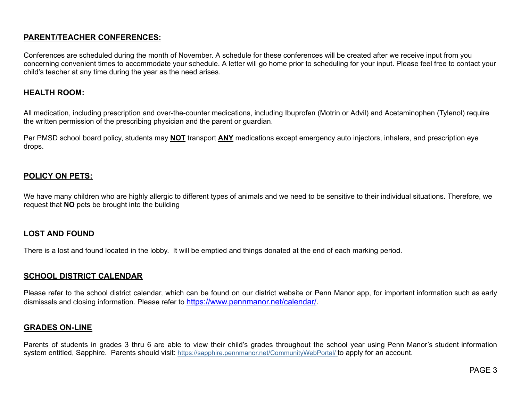# **PARENT/TEACHER CONFERENCES:**

Conferences are scheduled during the month of November. A schedule for these conferences will be created after we receive input from you concerning convenient times to accommodate your schedule. A letter will go home prior to scheduling for your input. Please feel free to contact your child's teacher at any time during the year as the need arises.

#### **HEALTH ROOM:**

All medication, including prescription and over-the-counter medications, including Ibuprofen (Motrin or Advil) and Acetaminophen (Tylenol) require the written permission of the prescribing physician and the parent or guardian.

Per PMSD school board policy, students may **NOT** transport **ANY** medications except emergency auto injectors, inhalers, and prescription eye drops.

## **POLICY ON PETS:**

We have many children who are highly allergic to different types of animals and we need to be sensitive to their individual situations. Therefore, we request that **NO** pets be brought into the building

## **LOST AND FOUND**

There is a lost and found located in the lobby. It will be emptied and things donated at the end of each marking period.

## **SCHOOL DISTRICT CALENDAR**

Please refer to the school district calendar, which can be found on our district website or Penn Manor app, for important information such as early dismissals and closing information. Please refer to [https://www.pennmanor.net/calendar/.](https://www.pennmanor.net/calendar/)

## **GRADES ON-LINE**

Parents of students in grades 3 thru 6 are able to view their child's grades throughout the school year using Penn Manor's student information system entitled, Sapphire. Parents should visit: <https://sapphire.pennmanor.net/CommunityWebPortal/> to apply for an account.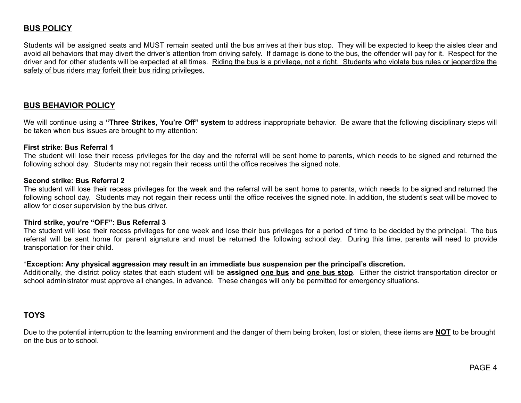## **BUS POLICY**

Students will be assigned seats and MUST remain seated until the bus arrives at their bus stop. They will be expected to keep the aisles clear and avoid all behaviors that may divert the driver's attention from driving safely. If damage is done to the bus, the offender will pay for it. Respect for the driver and for other students will be expected at all times. Riding the bus is a privilege, not a right. Students who violate bus rules or jeopardize the safety of bus riders may forfeit their bus riding privileges.

#### **BUS BEHAVIOR POLICY**

We will continue using a **"Three Strikes, You're Off" system** to address inappropriate behavior. Be aware that the following disciplinary steps will be taken when bus issues are brought to my attention:

#### **First strike**: **Bus Referral 1**

The student will lose their recess privileges for the day and the referral will be sent home to parents, which needs to be signed and returned the following school day. Students may not regain their recess until the office receives the signed note.

#### **Second strike: Bus Referral 2**

The student will lose their recess privileges for the week and the referral will be sent home to parents, which needs to be signed and returned the following school day. Students may not regain their recess until the office receives the signed note. In addition, the student's seat will be moved to allow for closer supervision by the bus driver.

#### **Third strike, you're "OFF": Bus Referral 3**

The student will lose their recess privileges for one week and lose their bus privileges for a period of time to be decided by the principal. The bus referral will be sent home for parent signature and must be returned the following school day. During this time, parents will need to provide transportation for their child.

#### \***Exception: Any physical aggression may result in an immediate bus suspension per the principal's discretion.**

Additionally, the district policy states that each student will be **assigned one bus and one bus stop**. Either the district transportation director or school administrator must approve all changes, in advance. These changes will only be permitted for emergency situations.

#### **TOYS**

Due to the potential interruption to the learning environment and the danger of them being broken, lost or stolen, these items are **NOT** to be brought on the bus or to school.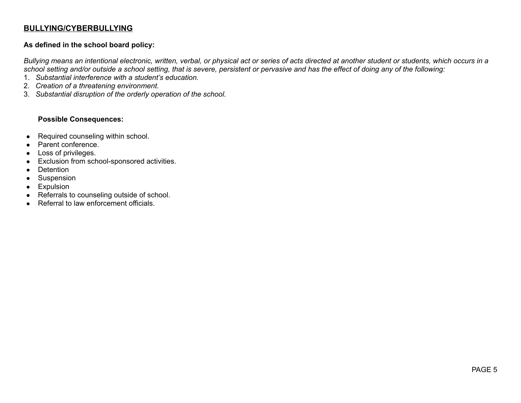## **BULLYING/CYBERBULLYING**

#### **As defined in the school board policy:**

Bullying means an intentional electronic, written, verbal, or physical act or series of acts directed at another student or students, which occurs in a school setting and/or outside a school setting, that is severe, persistent or pervasive and has the effect of doing any of the following:

- 1. *Substantial interference with a student's education.*
- 2. *Creation of a threatening environment.*
- 3. *Substantial disruption of the orderly operation of the school.*

#### **Possible Consequences:**

- Required counseling within school.
- Parent conference.
- Loss of privileges.
- Exclusion from school-sponsored activities.
- Detention
- Suspension
- Expulsion
- Referrals to counseling outside of school.
- Referral to law enforcement officials.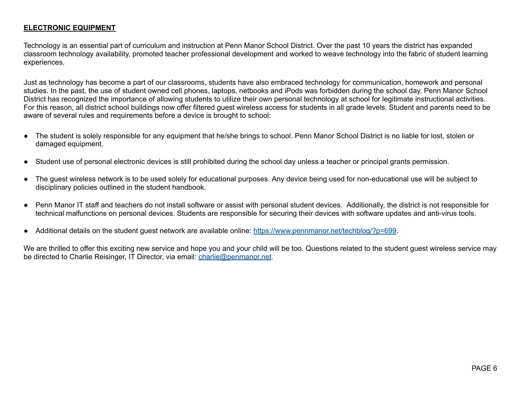#### **ELECTRONIC EQUIPMENT**

Technology is an essential part of curriculum and instruction at Penn Manor School District. Over the past 10 years the district has expanded classroom technology availability, promoted teacher professional development and worked to weave technology into the fabric of student learning experiences.

Just as technology has become a part of our classrooms, students have also embraced technology for communication, homework and personal studies. In the past, the use of student owned cell phones, laptops, netbooks and iPods was forbidden during the school day. Penn Manor School District has recognized the importance of allowing students to utilize their own personal technology at school for legitimate instructional activities. For this reason, all district school buildings now offer filtered guest wireless access for students in all grade levels. Student and parents need to be aware of several rules and requirements before a device is brought to school:

- The student is solely responsible for any equipment that he/she brings to school. Penn Manor School District is no liable for lost, stolen or damaged equipment.
- Student use of personal electronic devices is still prohibited during the school day unless a teacher or principal grants permission.
- The guest wireless network is to be used solely for educational purposes. Any device being used for non-educational use will be subject to disciplinary policies outlined in the student handbook.
- Penn Manor IT staff and teachers do not install software or assist with personal student devices. Additionally, the district is not responsible for technical malfunctions on personal devices. Students are responsible for securing their devices with software updates and anti-virus tools.
- Additional details on the student guest network are available online: <https://www.pennmanor.net/techblog/?p=699>.

We are thrilled to offer this exciting new service and hope you and your child will be too. Questions related to the student quest wireless service may be directed to Charlie Reisinger, IT Director, via email: [charlie@penmanor.net](mailto:charlie@penmanor.net).